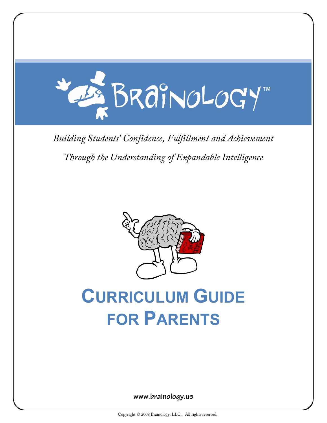

## *Building Students' Confidence, Fulfillment and Achievement Through the Understanding of Expandable Intelligence*



# **CURRICULUM GUIDE FOR PARENTS**

**www.brainology.us**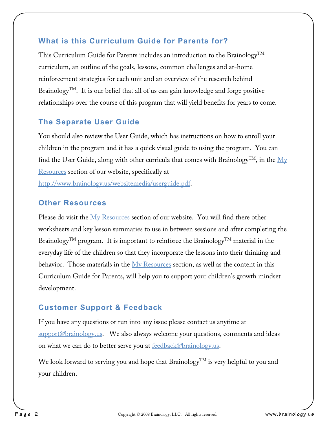### **What is this Curriculum Guide for Parents for?**

This Curriculum Guide for Parents includes an introduction to the Brainology<sup>TM</sup> curriculum, an outline of the goals, lessons, common challenges and at-home reinforcement strategies for each unit and an overview of the research behind Brainology<sup>TM</sup>. It is our belief that all of us can gain knowledge and forge positive relationships over the course of this program that will yield benefits for years to come.

### **The Separate User Guide**

You should also review the User Guide, which has instructions on how to enroll your children in the program and it has a quick visual guide to using the program. You can find the User Guide, along with other curricula that comes with Brainology<sup>TM</sup>, in the  $M_V$ Resources section of our website, specifically at

http://www.brainology.us/websitemedia/userguide.pdf.

### **Other Resources**

Please do visit the My Resources section of our website. You will find there other worksheets and key lesson summaries to use in between sessions and after completing the Brainology<sup>TM</sup> program. It is important to reinforce the Brainology<sup>TM</sup> material in the everyday life of the children so that they incorporate the lessons into their thinking and behavior. Those materials in the  $\overline{\text{My Resources}}$  section, as well as the content in this Curriculum Guide for Parents, will help you to support your children's growth mindset development.

### **Customer Support & Feedback**

If you have any questions or run into any issue please contact us anytime at support@brainology.us. We also always welcome your questions, comments and ideas on what we can do to better serve you at **feedback@brainology.us**.

We look forward to serving you and hope that  $\text{Brainology}^{\text{TM}}$  is very helpful to you and your children.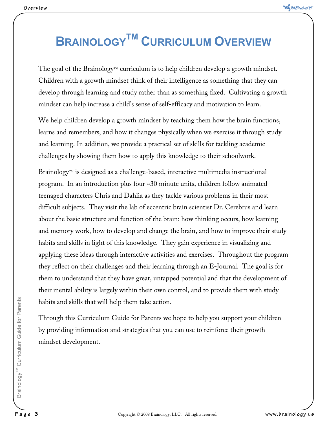## **BRAINOLOGYTM CURRICULUM OVERVIEW**

The goal of the Brainology $\mathbb{M}$  curriculum is to help children develop a growth mindset. Children with a growth mindset think of their intelligence as something that they can develop through learning and study rather than as something fixed. Cultivating a growth mindset can help increase a child's sense of self-efficacy and motivation to learn.

We help children develop a growth mindset by teaching them how the brain functions, learns and remembers, and how it changes physically when we exercise it through study and learning. In addition, we provide a practical set of skills for tackling academic challenges by showing them how to apply this knowledge to their schoolwork.

Brainology<sup> $m$ </sup> is designed as a challenge-based, interactive multimedia instructional program. In an introduction plus four ~30 minute units, children follow animated teenaged characters Chris and Dahlia as they tackle various problems in their most difficult subjects. They visit the lab of eccentric brain scientist Dr. Cerebrus and learn about the basic structure and function of the brain: how thinking occurs, how learning and memory work, how to develop and change the brain, and how to improve their study habits and skills in light of this knowledge. They gain experience in visualizing and applying these ideas through interactive activities and exercises. Throughout the program they reflect on their challenges and their learning through an E-Journal. The goal is for them to understand that they have great, untapped potential and that the development of their mental ability is largely within their own control, and to provide them with study habits and skills that will help them take action.

**Page 3**<br> **Page 3**<br> **Page 3**<br> **Page 3**<br> **Page 3**<br> **Page 3**<br> **Page 3**<br> **Page 3**<br> **Page 3**<br> **Page 3**<br> **Page 3**<br> **Page 3**<br> **Page 3**<br> **Page 3**<br> **Page 3**<br> **Page 3**<br> **Page 3**<br> **Page 3**<br> **Page 3**<br> **Page 3**<br> **Page 3**<br> **Page 3**<br> **P** Through this Curriculum Guide for Parents we hope to help you support your children by providing information and strategies that you can use to reinforce their growth mindset development.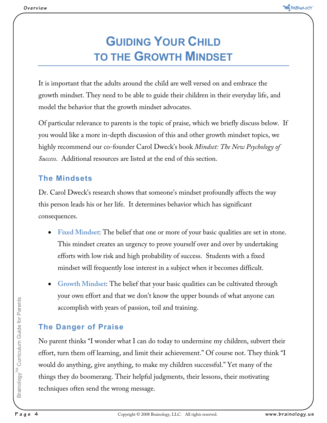## **GUIDING YOUR CHILD TO THE GROWTH MINDSET**

It is important that the adults around the child are well versed on and embrace the growth mindset. They need to be able to guide their children in their everyday life, and model the behavior that the growth mindset advocates.

Of particular relevance to parents is the topic of praise, which we briefly discuss below. If you would like a more in-depth discussion of this and other growth mindset topics, we highly recommend our co-founder Carol Dweck's book *Mindset: The New Psychology of Success*. Additional resources are listed at the end of this section.

### **The Mindsets**

Dr. Carol Dweck's research shows that someone's mindset profoundly affects the way this person leads his or her life. It determines behavior which has significant consequences.

- **Fixed Mindset**: The belief that one or more of your basic qualities are set in stone. This mindset creates an urgency to prove yourself over and over by undertaking efforts with low risk and high probability of success. Students with a fixed mindset will frequently lose interest in a subject when it becomes difficult.
- **Growth Mindset**: The belief that your basic qualities can be cultivated through your own effort and that we don't know the upper bounds of what anyone can accomplish with years of passion, toil and training.

### **The Danger of Praise**

**Page 4**<br>
Page 4<br>
Page 4<br>
Page 4<br>
Page 4<br>
Page 4<br>
Page 4<br>
Page 4<br>
Page 4<br>
Page 4<br>
Page 4<br>
Page 4<br>
Page 4<br>
Page 4<br>
Page 4<br>
Page 4<br>
Page 4<br>
Page 4<br>
Page 4<br>
Copyright © 2008 Brainology, LLC. All rights reserved.<br>
Page 4<br>
Page No parent thinks "I wonder what I can do today to undermine my children, subvert their effort, turn them off learning, and limit their achievement." Of course not. They think "I would do anything, give anything, to make my children successful." Yet many of the things they do boomerang. Their helpful judgments, their lessons, their motivating techniques often send the wrong message.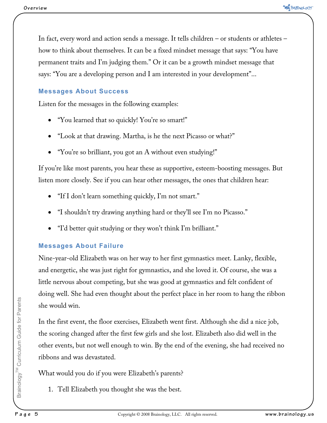In fact, every word and action sends a message. It tells children – or students or athletes – how to think about themselves. It can be a fixed mindset message that says: "You have permanent traits and I'm judging them." Or it can be a growth mindset message that says: "You are a developing person and I am interested in your development"...

#### **Messages About Success**

Listen for the messages in the following examples:

- "You learned that so quickly! You're so smart!"
- "Look at that drawing. Martha, is he the next Picasso or what?"
- "You're so brilliant, you got an A without even studying!"

If you're like most parents, you hear these as supportive, esteem-boosting messages. But listen more closely. See if you can hear other messages, the ones that children hear:

- "If I don't learn something quickly, I'm not smart."
- "I shouldn't try drawing anything hard or they'll see I'm no Picasso."
- "I'd better quit studying or they won't think I'm brilliant."

#### **Messages About Failure**

Nine-year-old Elizabeth was on her way to her first gymnastics meet. Lanky, flexible, and energetic, she was just right for gymnastics, and she loved it. Of course, she was a little nervous about competing, but she was good at gymnastics and felt confident of doing well. She had even thought about the perfect place in her room to hang the ribbon she would win.

**Page 5**<br> **Page 5** Copyright © 2008 Brainology, LLC. All rights reserved.<br> **Page 5** Copyright © 2008 Brainology, LLC. All rights reserved.<br> **Page 5** Copyright © 2008 Brainology, LLC. All rights reserved.<br> **Page 5** Copyrigh In the first event, the floor exercises, Elizabeth went first. Although she did a nice job, the scoring changed after the first few girls and she lost. Elizabeth also did well in the other events, but not well enough to win. By the end of the evening, she had received no ribbons and was devastated.

What would you do if you were Elizabeth's parents?

1. Tell Elizabeth you thought she was the best.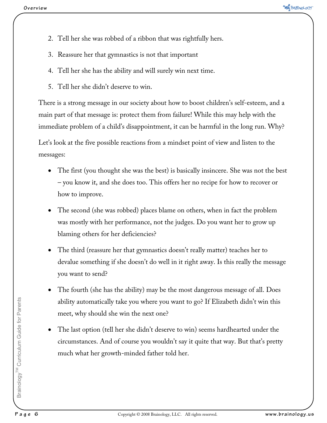- 2. Tell her she was robbed of a ribbon that was rightfully hers.
- 3. Reassure her that gymnastics is not that important
- 4. Tell her she has the ability and will surely win next time.
- 5. Tell her she didn't deserve to win.

There is a strong message in our society about how to boost children's self-esteem, and a main part of that message is: protect them from failure! While this may help with the immediate problem of a child's disappointment, it can be harmful in the long run. Why?

Let's look at the five possible reactions from a mindset point of view and listen to the messages:

- The first (you thought she was the best) is basically insincere. She was not the best – you know it, and she does too. This offers her no recipe for how to recover or how to improve.
- The second (she was robbed) places blame on others, when in fact the problem was mostly with her performance, not the judges. Do you want her to grow up blaming others for her deficiencies?
- The third (reassure her that gymnastics doesn't really matter) teaches her to devalue something if she doesn't do well in it right away. Is this really the message you want to send?
- The fourth (she has the ability) may be the most dangerous message of all. Does ability automatically take you where you want to go? If Elizabeth didn't win this meet, why should she win the next one?
- **Page 6**<br> **Page 6** Copyright © 2008 Brainology, LLC. All rights reserved.<br> **Page 6**<br> **Page 6**<br> **Page 6**<br> **Page 6**<br> **Page 6**<br> **Page 6**<br> **Page 6**<br> **Page 6**<br> **Page 6**<br> **Page 6**<br> **Page 6**<br> **Page 6**<br> **Page 6**<br> **Page 6**<br> **Page 6** The last option (tell her she didn't deserve to win) seems hardhearted under the circumstances. And of course you wouldn't say it quite that way. But that's pretty much what her growth-minded father told her.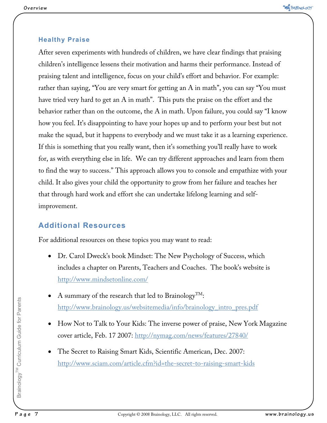#### **Healthy Praise**

After seven experiments with hundreds of children, we have clear findings that praising children's intelligence lessens their motivation and harms their performance. Instead of praising talent and intelligence, focus on your child's effort and behavior. For example: rather than saying, "You are very smart for getting an A in math", you can say "You must have tried very hard to get an A in math". This puts the praise on the effort and the behavior rather than on the outcome, the A in math. Upon failure, you could say "I know how you feel. It's disappointing to have your hopes up and to perform your best but not make the squad, but it happens to everybody and we must take it as a learning experience. If this is something that you really want, then it's something you'll really have to work for, as with everything else in life. We can try different approaches and learn from them to find the way to success." This approach allows you to console and empathize with your child. It also gives your child the opportunity to grow from her failure and teaches her that through hard work and effort she can undertake lifelong learning and selfimprovement.

### **Additional Resources**

For additional resources on these topics you may want to read:

- Dr. Carol Dweck's book Mindset: The New Psychology of Success, which includes a chapter on Parents, Teachers and Coaches. The book's website is http://www.mindsetonline.com/
- A summary of the research that led to Brainology<sup>TM</sup>: http://www.brainology.us/websitemedia/info/brainology\_intro\_pres.pdf
- **Page 7** Copyright © 2008 Brainology, LLC. All rights reserved.<br> **Page 7** Copyright © 2008 Brainology, LLC. All rights reserved.<br> **Page 7** Copyright © 2008 Brainology, LLC. All rights reserved.<br> **Page 7** Copyright © 2008 B • How Not to Talk to Your Kids: The inverse power of praise, New York Magazine cover article, Feb. 17 2007: http://nymag.com/news/features/27840/
	- The Secret to Raising Smart Kids, Scientific American, Dec. 2007: http://www.sciam.com/article.cfm?id=the-secret-to-raising-smart-kids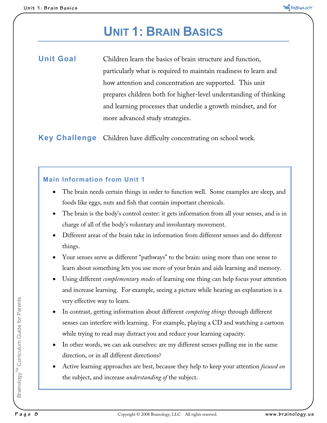## **UNIT 1: BRAIN BASICS**

**Unit Goal** Children learn the basics of brain structure and function, particularly what is required to maintain readiness to learn and how attention and concentration are supported. This unit prepares children both for higher-level understanding of thinking and learning processes that underlie a growth mindset, and for more advanced study strategies.

**Key Challenge** Children have difficulty concentrating on school work.

### **Main Information from Unit 1**

- The brain needs certain things in order to function well. Some examples are sleep, and foods like eggs, nuts and fish that contain important chemicals.
- The brain is the body's control center: it gets information from all your senses, and is in charge of all of the body's voluntary and involuntary movement.
- Different areas of the brain take in information from different senses and do different things.
- Your senses serve as different "pathways" to the brain: using more than one sense to learn about something lets you use more of your brain and aids learning and memory.
- Using different *complementary modes* of learning one thing can help focus your attention and increase learning. For example, seeing a picture while hearing an explanation is a very effective way to learn.
- **Page 8**<br> **Page 2008**<br> **Page 3** CD and watching a cartoon<br> **Page 3** CD and watching a cartoon<br>
while trying to read may distract you and reduce your learning capacity.<br> **Page 8**<br> **Page 8** Copyright © 2008 Brainology, LLC. • In contrast, getting information about different *competing things* through different senses can interfere with learning. For example, playing a CD and watching a cartoon while trying to read may distract you and reduce your learning capacity.
	- In other words, we can ask ourselves: are my different senses pulling me in the same direction, or in all different directions?
	- Active learning approaches are best, because they help to keep your attention *focused on* the subject, and increase *understanding of* the subject.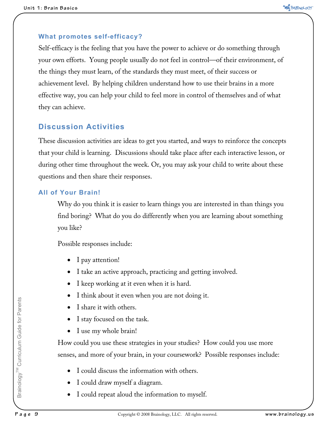#### **What promotes self-efficacy?**

Self-efficacy is the feeling that you have the power to achieve or do something through your own efforts. Young people usually do not feel in control—of their environment, of the things they must learn, of the standards they must meet, of their success or achievement level. By helping children understand how to use their brains in a more effective way, you can help your child to feel more in control of themselves and of what they can achieve.

### **Discussion Activities**

These discussion activities are ideas to get you started, and ways to reinforce the concepts that your child is learning. Discussions should take place after each interactive lesson, or during other time throughout the week. Or, you may ask your child to write about these questions and then share their responses.

#### **All of Your Brain!**

Why do you think it is easier to learn things you are interested in than things you find boring? What do you do differently when you are learning about something you like?

Possible responses include:

- I pay attention!
- I take an active approach, practicing and getting involved.
- I keep working at it even when it is hard.
- I think about it even when you are not doing it.
- I share it with others.
- I stay focused on the task.
- I use my whole brain!

**Page 9** Copyright © 2008 Brainology, LLC. All rights reserved.<br> **Page 9** Copyright © 2008 Brainology, LLC. All rights reserved. **Page 9** Copyright © 2008 Brainology, LLC. All rights reserved. **Page 9** Copyright © 2008 Bra How could you use these strategies in your studies? How could you use more senses, and more of your brain, in your coursework? Possible responses include:

- I could discuss the information with others.
- I could draw myself a diagram.
- I could repeat aloud the information to myself.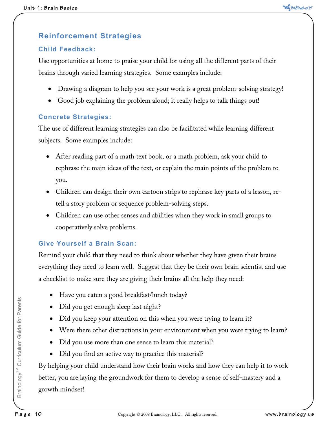### **Reinforcement Strategies**

#### **Child Feedback:**

Use opportunities at home to praise your child for using all the different parts of their brains through varied learning strategies. Some examples include:

- Drawing a diagram to help you see your work is a great problem-solving strategy!
- Good job explaining the problem aloud; it really helps to talk things out!

### **Concrete Strategies:**

The use of different learning strategies can also be facilitated while learning different subjects. Some examples include:

- After reading part of a math text book, or a math problem, ask your child to rephrase the main ideas of the text, or explain the main points of the problem to you.
- Children can design their own cartoon strips to rephrase key parts of a lesson, retell a story problem or sequence problem-solving steps.
- Children can use other senses and abilities when they work in small groups to cooperatively solve problems.

### **Give Yourself a Brain Scan:**

Remind your child that they need to think about whether they have given their brains everything they need to learn well. Suggest that they be their own brain scientist and use a checklist to make sure they are giving their brains all the help they need:

- Have you eaten a good breakfast/lunch today?
- Did you get enough sleep last night?
- Did you keep your attention on this when you were trying to learn it?
- Were there other distractions in your environment when you were trying to learn?
- Did you use more than one sense to learn this material?
- Did you find an active way to practice this material?

**P a g e 10**<br> **P a g e 10** Copyright © 2008 Brainology, LLC. All right reserved.<br> **P a g e** 10<br> **P** a g e 10<br> **P** a g e 10<br> **P** a g e 10<br> **P** a g e 10<br> **P** a g e 10<br> **P** a g e 10<br> **P** a g e 10<br> **E** Copyright © 2008 Brainol By helping your child understand how their brain works and how they can help it to work better, you are laying the groundwork for them to develop a sense of self-mastery and a growth mindset!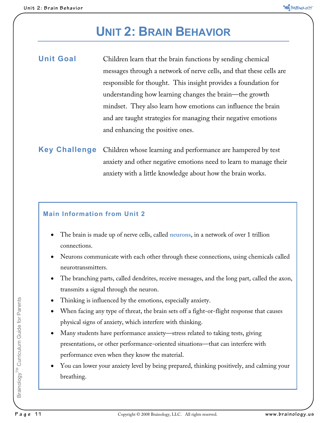## **UNIT 2: BRAIN BEHAVIOR**

### **Unit Goal** Children learn that the brain functions by sending chemical messages through a network of nerve cells, and that these cells are responsible for thought. This insight provides a foundation for understanding how learning changes the brain—the growth mindset. They also learn how emotions can influence the brain and are taught strategies for managing their negative emotions and enhancing the positive ones.

**Key Challenge** Children whose learning and performance are hampered by test anxiety and other negative emotions need to learn to manage their anxiety with a little knowledge about how the brain works.

### **Main Information from Unit 2**

- The brain is made up of nerve cells, called **neurons**, in a network of over 1 trillion connections.
- Neurons communicate with each other through these connections, using chemicals called neurotransmitters.
- The branching parts, called dendrites, receive messages, and the long part, called the axon, transmits a signal through the neuron.
- Thinking is influenced by the emotions, especially anxiety.
- When facing any type of threat, the brain sets off a fight-or-flight response that causes physical signs of anxiety, which interfere with thinking.
- **P a g e 11** Copyright © 2008 Brainology, LLC. All right reserved.<br> **P** a g a g 11 Copyright © 2008 Brainology, LLC. All rights reserved.<br> **Page 11** Copyright © 2008 Brainology, LLC. All rights reserved.<br> **Page 11** Copyri • Many students have performance anxiety—stress related to taking tests, giving presentations, or other performance-oriented situations—that can interfere with performance even when they know the material.
	- You can lower your anxiety level by being prepared, thinking positively, and calming your breathing.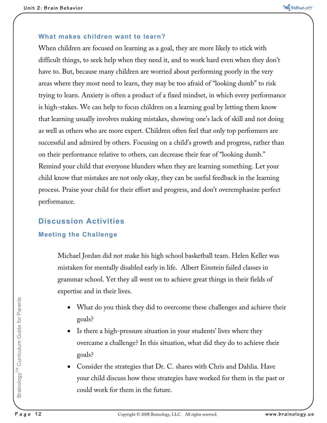#### **What makes children want to learn?**

When children are focused on learning as a goal, they are more likely to stick with difficult things, to seek help when they need it, and to work hard even when they don't have to. But, because many children are worried about performing poorly in the very areas where they most need to learn, they may be too afraid of "looking dumb" to risk trying to learn. Anxiety is often a product of a fixed mindset, in which every performance is high-stakes. We can help to focus children on a learning goal by letting them know that learning usually involves making mistakes, showing one's lack of skill and not doing as well as others who are more expert. Children often feel that only top performers are successful and admired by others. Focusing on a child's growth and progress, rather than on their performance relative to others, can decrease their fear of "looking dumb." Remind your child that everyone blunders when they are learning something. Let your child know that mistakes are not only okay, they can be useful feedback in the learning process. Praise your child for their effort and progress, and don't overemphasize perfect performance.

### **Discussion Activities**

#### **Meeting the Challenge**

Michael Jordan did not make his high school basketball team. Helen Keller was mistaken for mentally disabled early in life. Albert Einstein failed classes in grammar school. Yet they all went on to achieve great things in their fields of expertise and in their lives.

- What do you think they did to overcome these challenges and achieve their goals?
- Is there a high-pressure situation in your students' lives where they overcame a challenge? In this situation, what did they do to achieve their goals?
- **P a g e 12**<br> **P a g e 12** Copyright © 2008 Brainology, LLC. All rights reserved.<br> **P a g e 12** Copyright © 2008 Brainology, LLC. All rights reserved.<br> **P a g e** 12 • Consider the strategies that Dr. C. shares with Chris and Dahlia. Have your child discuss how these strategies have worked for them in the past or could work for them in the future.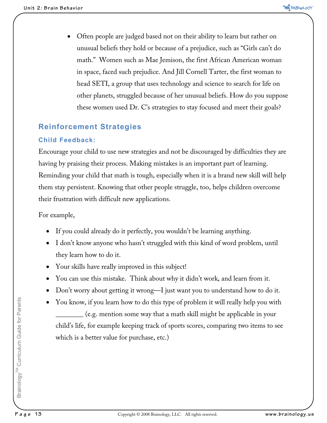• Often people are judged based not on their ability to learn but rather on unusual beliefs they hold or because of a prejudice, such as "Girls can't do math." Women such as Mae Jemison, the first African American woman in space, faced such prejudice. And Jill Cornell Tarter, the first woman to head SETI, a group that uses technology and science to search for life on other planets, struggled because of her unusual beliefs. How do you suppose these women used Dr. C's strategies to stay focused and meet their goals?

### **Reinforcement Strategies**

#### **Child Feedback:**

Encourage your child to use new strategies and not be discouraged by difficulties they are having by praising their process. Making mistakes is an important part of learning. Reminding your child that math is tough, especially when it is a brand new skill will help them stay persistent. Knowing that other people struggle, too, helps children overcome their frustration with difficult new applications.

For example,

- If you could already do it perfectly, you wouldn't be learning anything.
- I don't know anyone who hasn't struggled with this kind of word problem, until they learn how to do it.
- Your skills have really improved in this subject!
- You can use this mistake. Think about why it didn't work, and learn from it.
- Don't worry about getting it wrong—I just want you to understand how to do it.
- **P a g e 13** Copyright © 2008 Brainology, LLC. All rights reserved.<br> **Pa g e 13** Copyright © 2008 Brainology, LLC. All rights reserved.<br> **Pa g e 13** Copyright © 2008 Brainology, LLC. All rights reserved.<br> **Pa g e 13** Copy • You know, if you learn how to do this type of problem it will really help you with \_\_\_\_\_\_\_\_ (e.g. mention some way that a math skill might be applicable in your child's life, for example keeping track of sports scores, comparing two items to see which is a better value for purchase, etc.)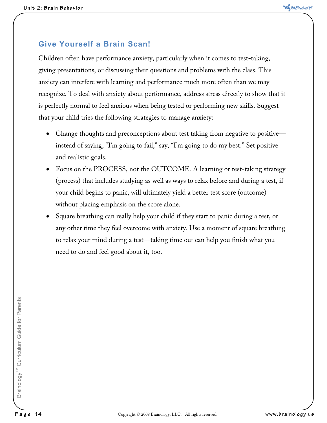### **Give Yourself a Brain Scan!**

Children often have performance anxiety, particularly when it comes to test-taking, giving presentations, or discussing their questions and problems with the class. This anxiety can interfere with learning and performance much more often than we may recognize. To deal with anxiety about performance, address stress directly to show that it is perfectly normal to feel anxious when being tested or performing new skills. Suggest that your child tries the following strategies to manage anxiety:

- Change thoughts and preconceptions about test taking from negative to positive instead of saying, "I'm going to fail," say, "I'm going to do my best." Set positive and realistic goals.
- Focus on the PROCESS, not the OUTCOME. A learning or test-taking strategy (process) that includes studying as well as ways to relax before and during a test, if your child begins to panic, will ultimately yield a better test score (outcome) without placing emphasis on the score alone.
- Square breathing can really help your child if they start to panic during a test, or any other time they feel overcome with anxiety. Use a moment of square breathing to relax your mind during a test—taking time out can help you finish what you need to do and feel good about it, too.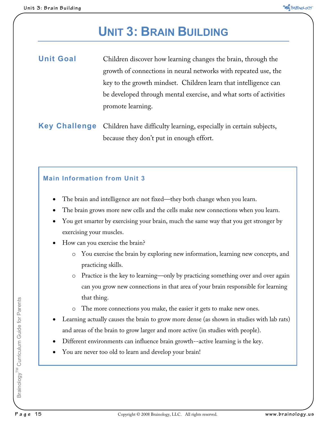## **UNIT 3: BRAIN BUILDING**

### **Unit Goal** Children discover how learning changes the brain, through the growth of connections in neural networks with repeated use, the key to the growth mindset. Children learn that intelligence can be developed through mental exercise, and what sorts of activities promote learning.

### **Key Challenge** Children have difficulty learning, especially in certain subjects, because they don't put in enough effort.

### **Main Information from Unit 3**

- The brain and intelligence are not fixed—they both change when you learn.
- The brain grows more new cells and the cells make new connections when you learn.
- You get smarter by exercising your brain, much the same way that you get stronger by exercising your muscles.
- How can you exercise the brain?
	- o You exercise the brain by exploring new information, learning new concepts, and practicing skills.
	- o Practice is the key to learning—only by practicing something over and over again can you grow new connections in that area of your brain responsible for learning that thing.
	- o The more connections you make, the easier it gets to make new ones.
- **P a g e 15**<br> **P a g e 15**<br> **P a g e 15**<br> **P a g e 15**<br> **P** a g e 15<br> **P** a g e 15<br> **P** a g e 15<br> **P** a g e 15<br> **P** a g e 15<br> **P** a g e 15<br> **P** a g e 15<br> **P** a g e 15<br> **P** a g e 15<br> **P** a g e 15<br> **P** a g e 15<br> **P** a g e 15 • Learning actually causes the brain to grow more dense (as shown in studies with lab rats) and areas of the brain to grow larger and more active (in studies with people).
	- Different environments can influence brain growth--active learning is the key.
	- You are never too old to learn and develop your brain!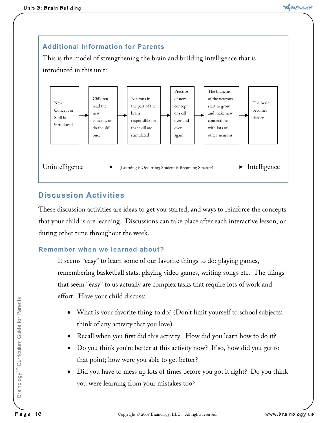

### **Discussion Activities**

These discussion activities are ideas to get you started, and ways to reinforce the concepts that your child is are learning. Discussions can take place after each interactive lesson, or during other time throughout the week.

### **Remember when we learned about?**

It seems "easy" to learn some of our favorite things to do: playing games, remembering basketball stats, playing video games, writing songs etc. The things that seem "easy" to us actually are complex tasks that require lots of work and effort. Have your child discuss:

- What is your favorite thing to do? (Don't limit yourself to school subjects: think of any activity that you love)
- Recall when you first did this activity. How did you learn how to do it?
- Do you think you're better at this activity now? If so, how did you get to that point; how were you able to get better?
- **P a g e 16**<br> **P a g 16** Copyright © 2008 Brainology, LLC. All rights reserved.<br> **P** a g e 16<br> **P** a g e 16<br> **P** a g e 16<br> **P** a g e 16<br> **P** a g e 16<br> **P** a g e 16<br> **P** a g e 16<br> **P** a g e 16<br> **E** Copyright © 2008 Brainolo • Did you have to mess up lots of times before you got it right? Do you think you were learning from your mistakes too?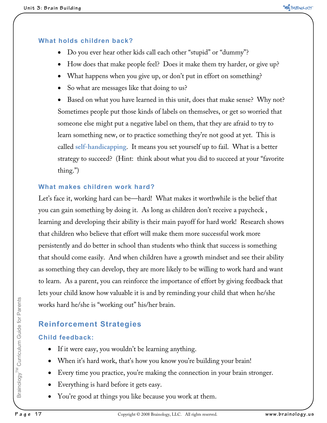### **What holds children back?**

- Do you ever hear other kids call each other "stupid" or "dummy"?
- How does that make people feel? Does it make them try harder, or give up?
- What happens when you give up, or don't put in effort on something?
- So what are messages like that doing to us?

• Based on what you have learned in this unit, does that make sense? Why not? Sometimes people put those kinds of labels on themselves, or get so worried that someone else might put a negative label on them, that they are afraid to try to learn something new, or to practice something they're not good at yet. This is called **self-handicapping**. It means you set yourself up to fail. What is a better strategy to succeed? (Hint: think about what you did to succeed at your "favorite thing.")

### **What makes children work hard?**

**P a g e 17**<br> **P a g e 17** Copyright © 2008 Brainology, LLC. All right reserved.<br> **P a g e 17** Copyright © 2008 Brainology, LLC. All right reserved.<br> **P a g e** 17<br> **P a g e 17** Copyright © 2008 Brainology, LLC. All right r Let's face it, working hard can be—hard! What makes it worthwhile is the belief that you can gain something by doing it. As long as children don't receive a paycheck , learning and developing their ability is their main payoff for hard work! Research shows that children who believe that effort will make them more successful work more persistently and do better in school than students who think that success is something that should come easily. And when children have a growth mindset and see their ability as something they can develop, they are more likely to be willing to work hard and want to learn. As a parent, you can reinforce the importance of effort by giving feedback that lets your child know how valuable it is and by reminding your child that when he/she works hard he/she is "working out" his/her brain.

### **Reinforcement Strategies**

### **Child feedback:**

- If it were easy, you wouldn't be learning anything.
- When it's hard work, that's how you know you're building your brain!
- Every time you practice, you're making the connection in your brain stronger.
- Everything is hard before it gets easy.
- You're good at things you like because you work at them.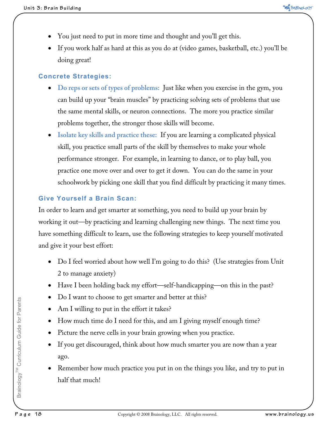- You just need to put in more time and thought and you'll get this.
- If you work half as hard at this as you do at (video games, basketball, etc.) you'll be doing great!

### **Concrete Strategies:**

- **Do reps or sets of types of problems:** Just like when you exercise in the gym, you can build up your "brain muscles" by practicing solving sets of problems that use the same mental skills, or neuron connections. The more you practice similar problems together, the stronger those skills will become.
- **Isolate key skills and practice these:** If you are learning a complicated physical skill, you practice small parts of the skill by themselves to make your whole performance stronger. For example, in learning to dance, or to play ball, you practice one move over and over to get it down. You can do the same in your schoolwork by picking one skill that you find difficult by practicing it many times.

### **Give Yourself a Brain Scan:**

In order to learn and get smarter at something, you need to build up your brain by working it out—by practicing and learning challenging new things. The next time you have something difficult to learn, use the following strategies to keep yourself motivated and give it your best effort:

- Do I feel worried about how well I'm going to do this? (Use strategies from Unit 2 to manage anxiety)
- Have I been holding back my effort—self-handicapping—on this in the past?
- Do I want to choose to get smarter and better at this?
- Am I willing to put in the effort it takes?
- How much time do I need for this, and am I giving myself enough time?
- Picture the nerve cells in your brain growing when you practice.
- If you get discouraged, think about how much smarter you are now than a year ago.
- **P a g e 18** Copyright © 2008 Brainology, LLC. All rights reserved.<br> **Properties**<br> **P** and **P** and **P** and **P** and **P** and **P** and **P** and **P** and **P** and **P** and **P** and **P** and **P** and **P** and **P** and **P** and **P** and **P** • Remember how much practice you put in on the things you like, and try to put in half that much!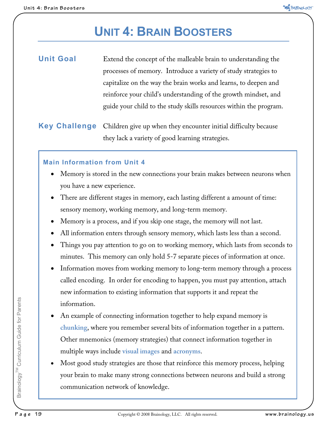## **UNIT 4: BRAIN BOOSTERS**

**Unit Goal** Extend the concept of the malleable brain to understanding the processes of memory. Introduce a variety of study strategies to capitalize on the way the brain works and learns, to deepen and reinforce your child's understanding of the growth mindset, and guide your child to the study skills resources within the program.

### **Key Challenge** Children give up when they encounter initial difficulty because they lack a variety of good learning strategies.

### **Main Information from Unit 4**

- Memory is stored in the new connections your brain makes between neurons when you have a new experience.
- There are different stages in memory, each lasting different a amount of time: sensory memory, working memory, and long-term memory.
- Memory is a process, and if you skip one stage, the memory will not last.
- All information enters through sensory memory, which lasts less than a second.
- Things you pay attention to go on to working memory, which lasts from seconds to minutes. This memory can only hold 5-7 separate pieces of information at once.
- Information moves from working memory to long-term memory through a process called encoding. In order for encoding to happen, you must pay attention, attach new information to existing information that supports it and repeat the information.
- **P a g e 19**<br> **P a g a d a connecting** information together to help expand memory is<br>
chunking, where you remember several bits of information together in a pattern.<br>
Other mnemonics (memory strategies) that connect inform • An example of connecting information together to help expand memory is **chunking**, where you remember several bits of information together in a pattern. Other mnemonics (memory strategies) that connect information together in multiple ways include **visual images** and **acronyms**.
	- Most good study strategies are those that reinforce this memory process, helping your brain to make many strong connections between neurons and build a strong communication network of knowledge.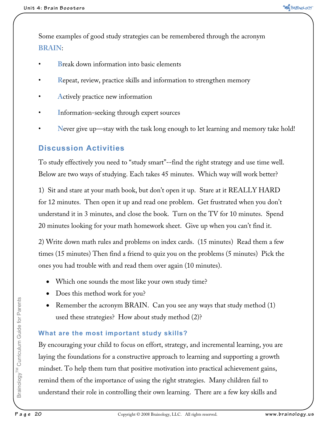Some examples of good study strategies can be remembered through the acronym **BRAIN**:

- **Break down information into basic elements**
- **Repeat, review, practice skills and information to strengthen memory**
- **A**ctively practice new information
- **I**nformation-seeking through expert sources
- **N**ever give up—stay with the task long enough to let learning and memory take hold!

### **Discussion Activities**

To study effectively you need to "study smart"--find the right strategy and use time well. Below are two ways of studying. Each takes 45 minutes. Which way will work better?

1) Sit and stare at your math book, but don't open it up. Stare at it REALLY HARD for 12 minutes. Then open it up and read one problem. Get frustrated when you don't understand it in 3 minutes, and close the book. Turn on the TV for 10 minutes. Spend 20 minutes looking for your math homework sheet. Give up when you can't find it.

2) Write down math rules and problems on index cards. (15 minutes) Read them a few times (15 minutes) Then find a friend to quiz you on the problems (5 minutes) Pick the ones you had trouble with and read them over again (10 minutes).

- Which one sounds the most like your own study time?
- Does this method work for you?
- Remember the acronym BRAIN. Can you see any ways that study method (1) used these strategies? How about study method (2)?

#### **What are the most important study skills?**

**P a g e 20**<br> **P Remember the acronym BRAIN.** Can you see any ways that study method (1)<br>
used these strategies? How about study method (2)?<br>
What are the most important study skills?<br>
By encouraging your child to focus By encouraging your child to focus on effort, strategy, and incremental learning, you are laying the foundations for a constructive approach to learning and supporting a growth mindset. To help them turn that positive motivation into practical achievement gains, remind them of the importance of using the right strategies. Many children fail to understand their role in controlling their own learning. There are a few key skills and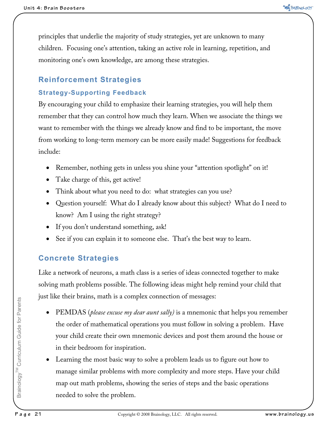principles that underlie the majority of study strategies, yet are unknown to many children. Focusing one's attention, taking an active role in learning, repetition, and monitoring one's own knowledge, are among these strategies.

### **Reinforcement Strategies**

#### **Strategy-Supporting Feedback**

By encouraging your child to emphasize their learning strategies, you will help them remember that they can control how much they learn. When we associate the things we want to remember with the things we already know and find to be important, the move from working to long-term memory can be more easily made! Suggestions for feedback include:

- Remember, nothing gets in unless you shine your "attention spotlight" on it!
- Take charge of this, get active!
- Think about what you need to do: what strategies can you use?
- Question yourself: What do I already know about this subject? What do I need to know? Am I using the right strategy?
- If you don't understand something, ask!
- See if you can explain it to someone else. That's the best way to learn.

### **Concrete Strategies**

Like a network of neurons, a math class is a series of ideas connected together to make solving math problems possible. The following ideas might help remind your child that just like their brains, math is a complex connection of messages:

- **P a g e 21**<br> **PEMDAS** (*please excuse my dear aunt sally)* is a mnemonic that helps you remember<br>
the order of mathematical operations you must follow in solving a problem. Have<br>
your child create their own mnemonic devic • PEMDAS (*please excuse my dear aunt sally)* is a mnemonic that helps you remember the order of mathematical operations you must follow in solving a problem. Have your child create their own mnemonic devices and post them around the house or in their bedroom for inspiration.
	- Learning the most basic way to solve a problem leads us to figure out how to manage similar problems with more complexity and more steps. Have your child map out math problems, showing the series of steps and the basic operations needed to solve the problem.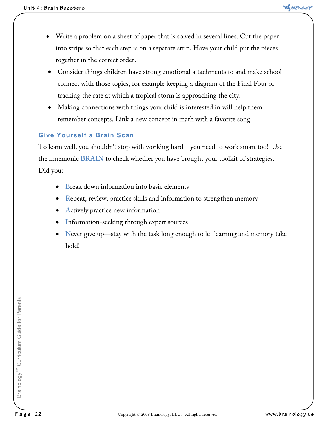- Write a problem on a sheet of paper that is solved in several lines. Cut the paper into strips so that each step is on a separate strip. Have your child put the pieces together in the correct order.
- Consider things children have strong emotional attachments to and make school connect with those topics, for example keeping a diagram of the Final Four or tracking the rate at which a tropical storm is approaching the city.
- Making connections with things your child is interested in will help them remember concepts. Link a new concept in math with a favorite song.

### **Give Yourself a Brain Scan**

To learn well, you shouldn't stop with working hard—you need to work smart too! Use the mnemonic **BRAIN** to check whether you have brought your toolkit of strategies. Did you:

- **Break down information into basic elements**
- **Repeat, review, practice skills and information to strengthen memory**
- **A**ctively practice new information
- **I**nformation-seeking through expert sources
- **N**ever give up—stay with the task long enough to let learning and memory take hold!

**P a g e 22** Copyright © 2008 Brainology, LLC. All rights reserved.<br> **P a g e 22** Copyright © 2008 Brainology, LLC. All rights reserved.<br> **P a g e 22** Copyright © 2008 Brainology, LLC. All rights reserved.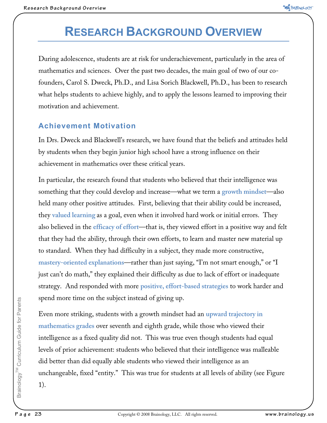## **RESEARCH BACKGROUND OVERVIEW**

During adolescence, students are at risk for underachievement, particularly in the area of mathematics and sciences. Over the past two decades, the main goal of two of our cofounders, Carol S. Dweck, Ph.D., and Lisa Sorich Blackwell, Ph.D., has been to research what helps students to achieve highly, and to apply the lessons learned to improving their motivation and achievement.

### **Achievement Motivation**

In Drs. Dweck and Blackwell's research, we have found that the beliefs and attitudes held by students when they begin junior high school have a strong influence on their achievement in mathematics over these critical years.

In particular, the research found that students who believed that their intelligence was something that they could develop and increase—what we term a **growth mindset**—also held many other positive attitudes. First, believing that their ability could be increased, they **valued learning** as a goal, even when it involved hard work or initial errors. They also believed in the **efficacy of effort**—that is, they viewed effort in a positive way and felt that they had the ability, through their own efforts, to learn and master new material up to standard. When they had difficulty in a subject, they made more constructive, **mastery-oriented explanations**—rather than just saying, "I'm not smart enough," or "I just can't do math," they explained their difficulty as due to lack of effort or inadequate strategy. And responded with more **positive, effort-based strategies** to work harder and spend more time on the subject instead of giving up.

**P a g e 23** Copyright © 2008 Brainology, LLC. All right reserved.<br> **P** a g e 23 Copyright © 2008 Brainology, LLC. All right reserved. **We are not all reserved** for Parents intelligence as a fixed quality did not. This was Even more striking, students with a growth mindset had an **upward trajectory in mathematics grades** over seventh and eighth grade, while those who viewed their intelligence as a fixed quality did not. This was true even though students had equal levels of prior achievement: students who believed that their intelligence was malleable did better than did equally able students who viewed their intelligence as an unchangeable, fixed "entity." This was true for students at all levels of ability (see Figure 1).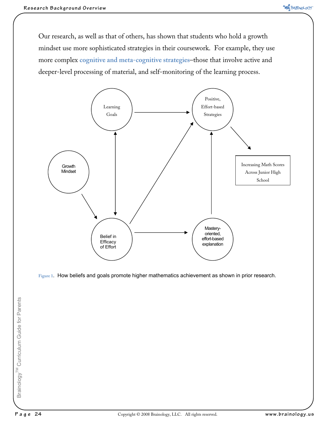Our research, as well as that of others, has shown that students who hold a growth mindset use more sophisticated strategies in their coursework. For example, they use more complex **cognitive and meta-cognitive strategies**–those that involve active and deeper-level processing of material, and self-monitoring of the learning process.



**Figure 1**. How beliefs and goals promote higher mathematics achievement as shown in prior research.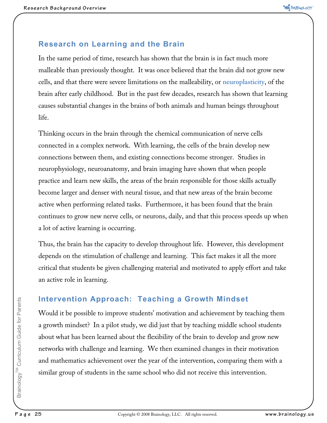### **Research on Learning and the Brain**

In the same period of time, research has shown that the brain is in fact much more malleable than previously thought. It was once believed that the brain did not grow new cells, and that there were severe limitations on the malleability, or **neuroplasticity**, of the brain after early childhood. But in the past few decades, research has shown that learning causes substantial changes in the brains of both animals and human beings throughout life.

Thinking occurs in the brain through the chemical communication of nerve cells connected in a complex network. With learning, the cells of the brain develop new connections between them, and existing connections become stronger. Studies in neurophysiology, neuroanatomy, and brain imaging have shown that when people practice and learn new skills, the areas of the brain responsible for those skills actually become larger and denser with neural tissue, and that new areas of the brain become active when performing related tasks. Furthermore, it has been found that the brain continues to grow new nerve cells, or neurons, daily, and that this process speeds up when a lot of active learning is occurring.

Thus, the brain has the capacity to develop throughout life. However, this development depends on the stimulation of challenge and learning. This fact makes it all the more critical that students be given challenging material and motivated to apply effort and take an active role in learning.

### **Intervention Approach: Teaching a Growth Mindset**

**P a g e 25**<br> **P a g a G a g b a g e 25** Copyright © 2008 Brainology, LLC. All rights reserved.<br> **P a g e 25** Copyright © 2008 Brainology, LLC. All rights reserved.<br> **P a g e 25** Copyright © 2008 Brainology, LLC. All right Would it be possible to improve students' motivation and achievement by teaching them a growth mindset? In a pilot study, we did just that by teaching middle school students about what has been learned about the flexibility of the brain to develop and grow new networks with challenge and learning. We then examined changes in their motivation and mathematics achievement over the year of the intervention, comparing them with a similar group of students in the same school who did not receive this intervention.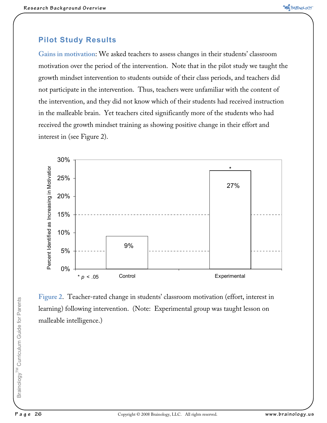### **Pilot Study Results**

**Gains in motivation**: We asked teachers to assess changes in their students' classroom motivation over the period of the intervention. Note that in the pilot study we taught the growth mindset intervention to students outside of their class periods, and teachers did not participate in the intervention. Thus, teachers were unfamiliar with the content of the intervention, and they did not know which of their students had received instruction in the malleable brain. Yet teachers cited significantly more of the students who had received the growth mindset training as showing positive change in their effort and interest in (see Figure 2).



**P a g e 26**<br> **P a g e 26**<br> **P a g e 26**<br> **P a g e 26**<br> **P** a g e 26<br> **P** a g e 26<br> **P** a g e 26<br> **P** a g e 26<br> **P** a g e 26<br> **P** a g e 26<br> **P** a g e 26<br> **P** a g e 26<br> **P** a g e 26<br> **P** a g e 26<br> **P** a g e 26<br> **P** a g e 26 **Figure 2**. Teacher-rated change in students' classroom motivation (effort, interest in learning) following intervention. (Note: Experimental group was taught lesson on malleable intelligence.)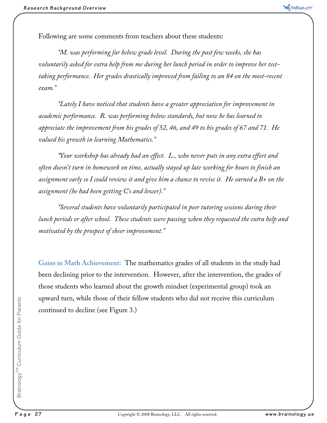Following are some comments from teachers about these students:

*"M. was performing far below grade level. During the past few weeks, she has voluntarily asked for extra help from me during her lunch period in order to improve her testtaking performance. Her grades drastically improved from failing to an 84 on the most-recent exam."* 

 *"Lately I have noticed that students have a greater appreciation for improvement in academic performance. R. was performing below standards, but now he has learned to appreciate the improvement from his grades of 52, 46, and 49 to his grades of 67 and 71. He valued his growth in learning Mathematics."* 

 *"Your workshop has already had an effect. L., who never puts in any extra effort and often doesn't turn in homework on time, actually stayed up late working for hours to finish an assignment early so I could review it and give him a chance to revise it. He earned a B+ on the assignment (he had been getting C's and lower)."* 

 *"Several students have voluntarily participated in peer tutoring sessions during their lunch periods or after school. These students were passing when they requested the extra help and motivated by the prospect of sheer improvement."* 

**P a g e 27**<br> **P a g e 27** Copyright © 2008 Brainology, LLC. All rights reserved.<br> **P a g e** 27<br> **P a g e 27** Copyright © 2008 Brainology, LLC. All rights reserved.<br> **P a g e 27** Copyright © 2008 Brainology, LLC. All right **Gains in Math Achievement:** The mathematics grades of all students in the study had been declining prior to the intervention. However, after the intervention, the grades of those students who learned about the growth mindset (experimental group) took an upward turn, while those of their fellow students who did not receive this curriculum continued to decline (see Figure 3.)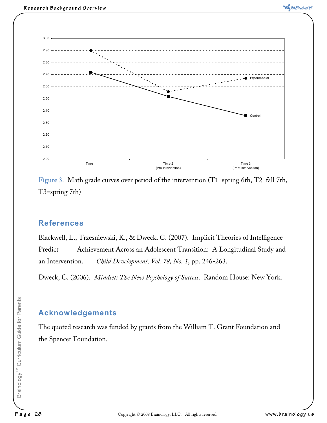

**Figure 3**. Math grade curves over period of the intervention (T1=spring 6th, T2=fall 7th, T3=spring 7th)

#### **References**

Blackwell, L., Trzesniewski, K., & Dweck, C. (2007). Implicit Theories of Intelligence Predict Achievement Across an Adolescent Transition: A Longitudinal Study and an Intervention. *Child Development, Vol. 78, No. 1*, pp. 246-263.

Dweck, C. (2006). *Mindset: The New Psychology of Success*. Random House: New York.

### **Acknowledgements**

**P a g e 28**<br> **P a g e 28**<br> **P a g e 28** Copyright © 2008 Brainology, LLC. All rights reserved.<br> **P a g e 28**<br>
Copyright © 2008 Brainology, LLC. All rights reserved.<br> **P a g e 28**<br>
Copyright © 2008 Brainology, LLC. All rig The quoted research was funded by grants from the William T. Grant Foundation and the Spencer Foundation.